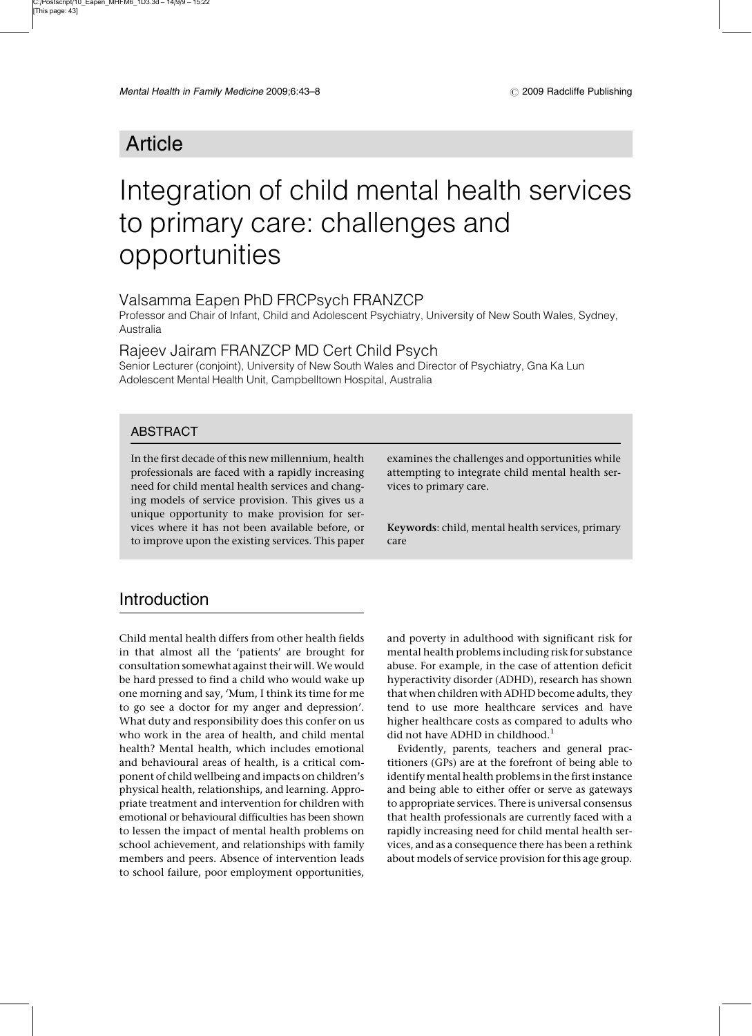# Article

# Integration of child mental health services to primary care: challenges and opportunities

#### Valsamma Eapen PhD FRCPsych FRANZCP

Professor and Chair of Infant, Child and Adolescent Psychiatry, University of New South Wales, Sydney, Australia

Rajeev Jairam FRANZCP MD Cert Child Psych

Senior Lecturer (conjoint), University of New South Wales and Director of Psychiatry, Gna Ka Lun Adolescent Mental Health Unit, Campbelltown Hospital, Australia

#### ABSTRACT

In the first decade of this new millennium, health professionals are faced with a rapidly increasing need for child mental health services and changing models of service provision. This gives us a unique opportunity to make provision for services where it has not been available before, or to improve upon the existing services. This paper examines the challenges and opportunities while attempting to integrate child mental health services to primary care.

Keywords: child, mental health services, primary care

#### **Introduction**

Child mental health differs from other health fields in that almost all the 'patients' are brought for consultation somewhat against their will.We would be hard pressed to find a child who would wake up one morning and say, 'Mum, I think its time for me to go see a doctor for my anger and depression'. What duty and responsibility does this confer on us who work in the area of health, and child mental health? Mental health, which includes emotional and behavioural areas of health, is a critical component of child wellbeing and impacts on children's physical health, relationships, and learning. Appropriate treatment and intervention for children with emotional or behavioural difficulties has been shown to lessen the impact of mental health problems on school achievement, and relationships with family members and peers. Absence of intervention leads to school failure, poor employment opportunities,

and poverty in adulthood with significant risk for mental health problems including risk for substance abuse. For example, in the case of attention deficit hyperactivity disorder (ADHD), research has shown that when children with ADHD become adults, they tend to use more healthcare services and have higher healthcare costs as compared to adults who did not have ADHD in childhood.<sup>1</sup>

Evidently, parents, teachers and general practitioners (GPs) are at the forefront of being able to identify mental health problems in the first instance and being able to either offer or serve as gateways to appropriate services. There is universal consensus that health professionals are currently faced with a rapidly increasing need for child mental health services, and as a consequence there has been a rethink about models of service provision for this age group.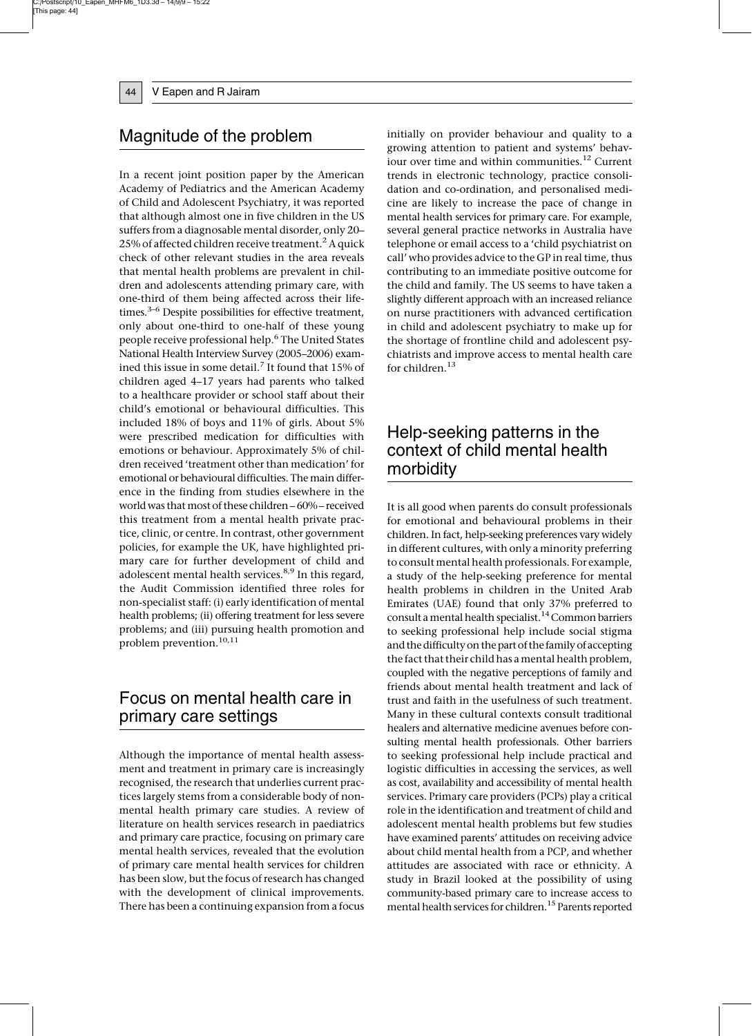#### Magnitude of the problem

In a recent joint position paper by the American Academy of Pediatrics and the American Academy of Child and Adolescent Psychiatry, it was reported that although almost one in five children in the US suffers from a diagnosable mental disorder, only 20– 25% of affected children receive treatment.<sup>2</sup> A quick check of other relevant studies in the area reveals that mental health problems are prevalent in children and adolescents attending primary care, with one-third of them being affected across their lifetimes. $3-6$  Despite possibilities for effective treatment, only about one-third to one-half of these young people receive professional help.<sup>6</sup> The United States National Health Interview Survey (2005–2006) examined this issue in some detail.<sup>7</sup> It found that 15% of children aged 4–17 years had parents who talked to a healthcare provider or school staff about their child's emotional or behavioural difficulties. This included 18% of boys and 11% of girls. About 5% were prescribed medication for difficulties with emotions or behaviour. Approximately 5% of children received 'treatment other than medication' for emotional or behavioural difficulties. The main difference in the finding from studies elsewhere in the world was that most of these children – 60% – received this treatment from a mental health private practice, clinic, or centre. In contrast, other government policies, for example the UK, have highlighted primary care for further development of child and adolescent mental health services.<sup>8,9</sup> In this regard, the Audit Commission identified three roles for non-specialist staff: (i) early identification of mental health problems; (ii) offering treatment for less severe problems; and (iii) pursuing health promotion and problem prevention.<sup>10,11</sup>

### Focus on mental health care in primary care settings

Although the importance of mental health assessment and treatment in primary care is increasingly recognised, the research that underlies current practices largely stems from a considerable body of nonmental health primary care studies. A review of literature on health services research in paediatrics and primary care practice, focusing on primary care mental health services, revealed that the evolution of primary care mental health services for children has been slow, but the focus of research has changed with the development of clinical improvements. There has been a continuing expansion from a focus initially on provider behaviour and quality to a growing attention to patient and systems' behaviour over time and within communities.<sup>12</sup> Current trends in electronic technology, practice consolidation and co-ordination, and personalised medicine are likely to increase the pace of change in mental health services for primary care. For example, several general practice networks in Australia have telephone or email access to a 'child psychiatrist on call' who provides advice to the GP in real time, thus contributing to an immediate positive outcome for the child and family. The US seems to have taken a slightly different approach with an increased reliance on nurse practitioners with advanced certification in child and adolescent psychiatry to make up for the shortage of frontline child and adolescent psychiatrists and improve access to mental health care for children. $^{\rm 13}$ 

### Help-seeking patterns in the context of child mental health morbidity

It is all good when parents do consult professionals for emotional and behavioural problems in their children. In fact, help-seeking preferences vary widely in different cultures, with only a minority preferring to consult mental health professionals. For example, a study of the help-seeking preference for mental health problems in children in the United Arab Emirates (UAE) found that only 37% preferred to consult a mental health specialist.<sup>14</sup> Common barriers to seeking professional help include social stigma and the difficulty on the part of the family of accepting the fact that their child has a mental health problem, coupled with the negative perceptions of family and friends about mental health treatment and lack of trust and faith in the usefulness of such treatment. Many in these cultural contexts consult traditional healers and alternative medicine avenues before consulting mental health professionals. Other barriers to seeking professional help include practical and logistic difficulties in accessing the services, as well as cost, availability and accessibility of mental health services. Primary care providers (PCPs) play a critical role in the identification and treatment of child and adolescent mental health problems but few studies have examined parents' attitudes on receiving advice about child mental health from a PCP, and whether attitudes are associated with race or ethnicity. A study in Brazil looked at the possibility of using community-based primary care to increase access to mental health services for children.<sup>15</sup> Parents reported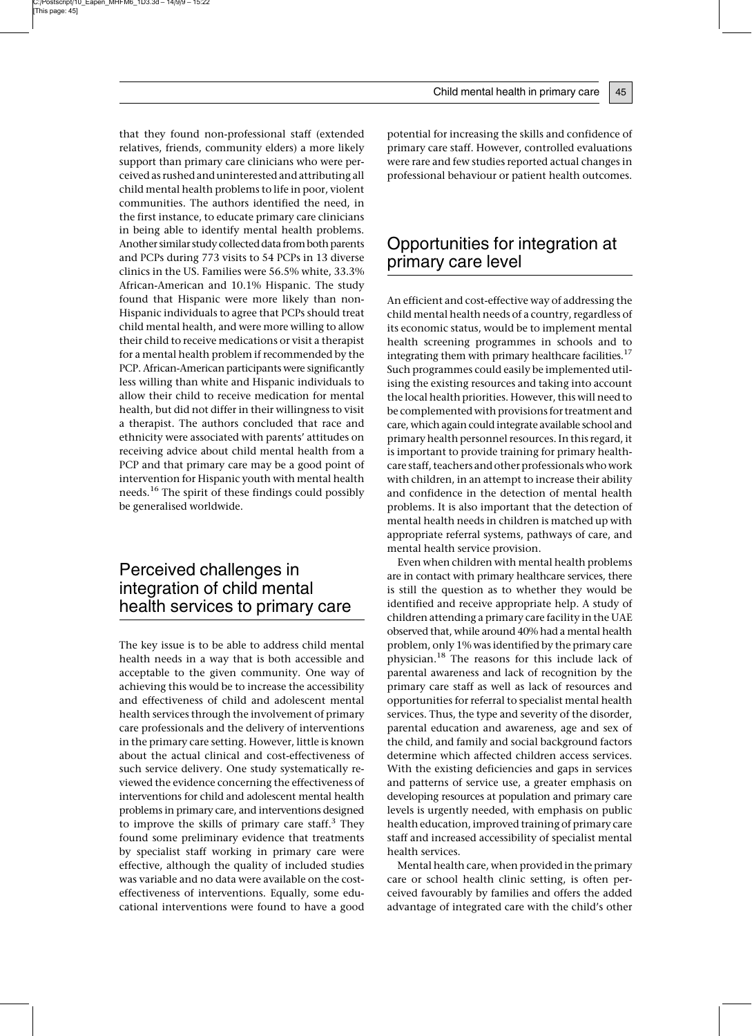that they found non-professional staff (extended relatives, friends, community elders) a more likely support than primary care clinicians who were perceived as rushed and uninterested and attributing all child mental health problems to life in poor, violent communities. The authors identified the need, in the first instance, to educate primary care clinicians in being able to identify mental health problems. Another similar study collected data from both parents and PCPs during 773 visits to 54 PCPs in 13 diverse clinics in the US. Families were 56.5% white, 33.3% African-American and 10.1% Hispanic. The study found that Hispanic were more likely than non-Hispanic individuals to agree that PCPs should treat child mental health, and were more willing to allow their child to receive medications or visit a therapist for a mental health problem if recommended by the PCP. African-American participants were significantly less willing than white and Hispanic individuals to allow their child to receive medication for mental health, but did not differ in their willingness to visit

a therapist. The authors concluded that race and ethnicity were associated with parents' attitudes on receiving advice about child mental health from a PCP and that primary care may be a good point of intervention for Hispanic youth with mental health needs.<sup>16</sup> The spirit of these findings could possibly be generalised worldwide.

## Perceived challenges in integration of child mental health services to primary care

The key issue is to be able to address child mental health needs in a way that is both accessible and acceptable to the given community. One way of achieving this would be to increase the accessibility and effectiveness of child and adolescent mental health services through the involvement of primary care professionals and the delivery of interventions in the primary care setting. However, little is known about the actual clinical and cost-effectiveness of such service delivery. One study systematically reviewed the evidence concerning the effectiveness of interventions for child and adolescent mental health problems in primary care, and interventions designed to improve the skills of primary care staff. $3$  They found some preliminary evidence that treatments by specialist staff working in primary care were effective, although the quality of included studies was variable and no data were available on the costeffectiveness of interventions. Equally, some educational interventions were found to have a good

potential for increasing the skills and confidence of primary care staff. However, controlled evaluations were rare and few studies reported actual changes in professional behaviour or patient health outcomes.

#### Opportunities for integration at primary care level

An efficient and cost-effective way of addressing the child mental health needs of a country, regardless of its economic status, would be to implement mental health screening programmes in schools and to integrating them with primary healthcare facilities.<sup>17</sup> Such programmes could easily be implemented utilising the existing resources and taking into account the local health priorities. However, this will need to be complemented with provisions for treatment and care, which again could integrate available school and primary health personnel resources. In this regard, it is important to provide training for primary healthcare staff, teachers and other professionals who work with children, in an attempt to increase their ability and confidence in the detection of mental health problems. It is also important that the detection of mental health needs in children is matched up with appropriate referral systems, pathways of care, and mental health service provision.

Even when children with mental health problems are in contact with primary healthcare services, there is still the question as to whether they would be identified and receive appropriate help. A study of children attending a primary care facility in the UAE observed that, while around 40% had a mental health problem, only 1% was identified by the primary care physician.<sup>18</sup> The reasons for this include lack of parental awareness and lack of recognition by the primary care staff as well as lack of resources and opportunities for referral to specialist mental health services. Thus, the type and severity of the disorder, parental education and awareness, age and sex of the child, and family and social background factors determine which affected children access services. With the existing deficiencies and gaps in services and patterns of service use, a greater emphasis on developing resources at population and primary care levels is urgently needed, with emphasis on public health education, improved training of primary care staff and increased accessibility of specialist mental health services.

Mental health care, when provided in the primary care or school health clinic setting, is often perceived favourably by families and offers the added advantage of integrated care with the child's other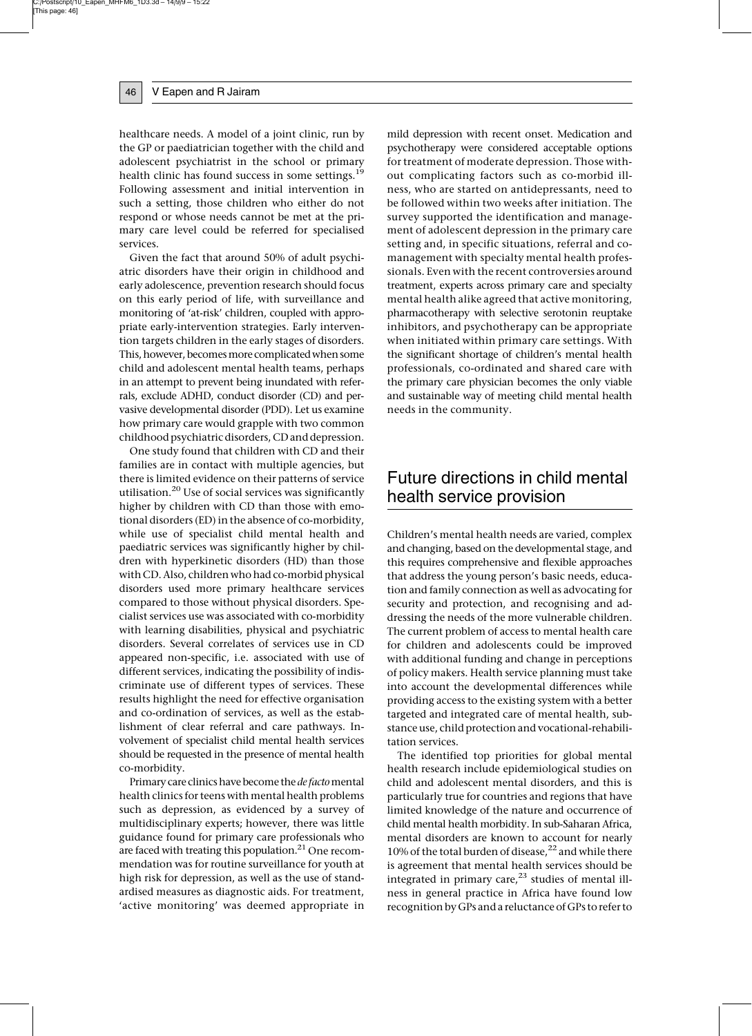healthcare needs. A model of a joint clinic, run by the GP or paediatrician together with the child and adolescent psychiatrist in the school or primary health clinic has found success in some settings.<sup>19</sup> Following assessment and initial intervention in such a setting, those children who either do not respond or whose needs cannot be met at the primary care level could be referred for specialised services.

Given the fact that around 50% of adult psychiatric disorders have their origin in childhood and early adolescence, prevention research should focus on this early period of life, with surveillance and monitoring of 'at-risk' children, coupled with appropriate early-intervention strategies. Early intervention targets children in the early stages of disorders. This, however, becomes more complicated when some child and adolescent mental health teams, perhaps in an attempt to prevent being inundated with referrals, exclude ADHD, conduct disorder (CD) and pervasive developmental disorder (PDD). Let us examine how primary care would grapple with two common childhood psychiatric disorders, CD and depression.

One study found that children with CD and their families are in contact with multiple agencies, but there is limited evidence on their patterns of service utilisation.<sup>20</sup> Use of social services was significantly higher by children with CD than those with emotional disorders (ED) in the absence of co-morbidity, while use of specialist child mental health and paediatric services was significantly higher by children with hyperkinetic disorders (HD) than those with CD. Also, children who had co-morbid physical disorders used more primary healthcare services compared to those without physical disorders. Specialist services use was associated with co-morbidity with learning disabilities, physical and psychiatric disorders. Several correlates of services use in CD appeared non-specific, i.e. associated with use of different services, indicating the possibility of indiscriminate use of different types of services. These results highlight the need for effective organisation and co-ordination of services, as well as the establishment of clear referral and care pathways. Involvement of specialist child mental health services should be requested in the presence of mental health co-morbidity.

Primary care clinics have become the de facto mental health clinics for teens with mental health problems such as depression, as evidenced by a survey of multidisciplinary experts; however, there was little guidance found for primary care professionals who are faced with treating this population.<sup>21</sup> One recommendation was for routine surveillance for youth at high risk for depression, as well as the use of standardised measures as diagnostic aids. For treatment, 'active monitoring' was deemed appropriate in mild depression with recent onset. Medication and psychotherapy were considered acceptable options for treatment of moderate depression. Those without complicating factors such as co-morbid illness, who are started on antidepressants, need to be followed within two weeks after initiation. The survey supported the identification and management of adolescent depression in the primary care setting and, in specific situations, referral and comanagement with specialty mental health professionals. Even with the recent controversies around treatment, experts across primary care and specialty mental health alike agreed that active monitoring, pharmacotherapy with selective serotonin reuptake inhibitors, and psychotherapy can be appropriate when initiated within primary care settings. With the significant shortage of children's mental health professionals, co-ordinated and shared care with the primary care physician becomes the only viable and sustainable way of meeting child mental health needs in the community.

### Future directions in child mental health service provision

Children's mental health needs are varied, complex and changing, based on the developmental stage, and this requires comprehensive and flexible approaches that address the young person's basic needs, education and family connection as well as advocating for security and protection, and recognising and addressing the needs of the more vulnerable children. The current problem of access to mental health care for children and adolescents could be improved with additional funding and change in perceptions of policy makers. Health service planning must take into account the developmental differences while providing access to the existing system with a better targeted and integrated care of mental health, substance use, child protection and vocational-rehabilitation services.

The identified top priorities for global mental health research include epidemiological studies on child and adolescent mental disorders, and this is particularly true for countries and regions that have limited knowledge of the nature and occurrence of child mental health morbidity. In sub-Saharan Africa, mental disorders are known to account for nearly 10% of the total burden of disease, $22$  and while there is agreement that mental health services should be integrated in primary care, $2<sup>3</sup>$  studies of mental illness in general practice in Africa have found low recognition by GPs and a reluctance of GPs to refer to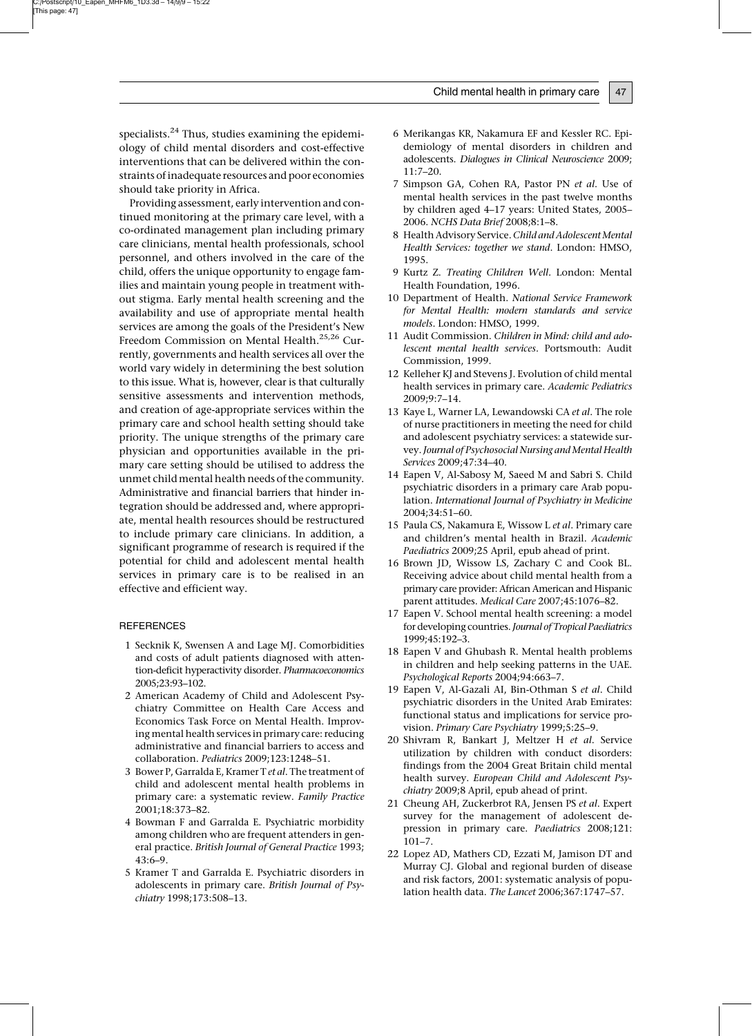specialists.<sup>24</sup> Thus, studies examining the epidemiology of child mental disorders and cost-effective interventions that can be delivered within the constraints of inadequate resources and poor economies should take priority in Africa.

Providing assessment, early intervention and continued monitoring at the primary care level, with a co-ordinated management plan including primary care clinicians, mental health professionals, school personnel, and others involved in the care of the child, offers the unique opportunity to engage families and maintain young people in treatment without stigma. Early mental health screening and the availability and use of appropriate mental health services are among the goals of the President's New Freedom Commission on Mental Health.25,26 Currently, governments and health services all over the world vary widely in determining the best solution to this issue. What is, however, clear is that culturally sensitive assessments and intervention methods, and creation of age-appropriate services within the primary care and school health setting should take priority. The unique strengths of the primary care physician and opportunities available in the primary care setting should be utilised to address the unmet childmental health needs of the community. Administrative and financial barriers that hinder integration should be addressed and, where appropriate, mental health resources should be restructured to include primary care clinicians. In addition, a significant programme of research is required if the potential for child and adolescent mental health services in primary care is to be realised in an effective and efficient way.

#### **REFERENCES**

- 1 Secknik K, Swensen A and Lage MJ. Comorbidities and costs of adult patients diagnosed with attention-deficit hyperactivity disorder. Pharmacoeconomics 2005;23:93–102.
- 2 American Academy of Child and Adolescent Psychiatry Committee on Health Care Access and Economics Task Force on Mental Health. Improving mental health services in primary care: reducing administrative and financial barriers to access and collaboration. Pediatrics 2009;123:1248–51.
- 3 Bower P, Garralda E, Kramer T et al. The treatment of child and adolescent mental health problems in primary care: a systematic review. Family Practice 2001;18:373–82.
- 4 Bowman F and Garralda E. Psychiatric morbidity among children who are frequent attenders in general practice. British Journal of General Practice 1993; 43:6–9.
- 5 Kramer T and Garralda E. Psychiatric disorders in adolescents in primary care. British Journal of Psychiatry 1998;173:508–13.
- 6 Merikangas KR, Nakamura EF and Kessler RC. Epidemiology of mental disorders in children and adolescents. Dialogues in Clinical Neuroscience 2009; 11:7–20.
- 7 Simpson GA, Cohen RA, Pastor PN et al. Use of mental health services in the past twelve months by children aged 4–17 years: United States, 2005– 2006. NCHS Data Brief 2008;8:1–8.
- 8 Health Advisory Service. Child and Adolescent Mental Health Services: together we stand. London: HMSO, 1995.
- 9 Kurtz Z. Treating Children Well. London: Mental Health Foundation, 1996.
- 10 Department of Health. National Service Framework for Mental Health: modern standards and service models. London: HMSO, 1999.
- 11 Audit Commission. Children in Mind: child and adolescent mental health services. Portsmouth: Audit Commission, 1999.
- 12 Kelleher KJ and Stevens J. Evolution of child mental health services in primary care. Academic Pediatrics 2009;9:7–14.
- 13 Kaye L, Warner LA, Lewandowski CA et al. The role of nurse practitioners in meeting the need for child and adolescent psychiatry services: a statewide survey. Journal of Psychosocial Nursing and Mental Health Services 2009;47:34–40.
- 14 Eapen V, Al-Sabosy M, Saeed M and Sabri S. Child psychiatric disorders in a primary care Arab population. International Journal of Psychiatry in Medicine 2004;34:51–60.
- 15 Paula CS, Nakamura E, Wissow L et al. Primary care and children's mental health in Brazil. Academic Paediatrics 2009;25 April, epub ahead of print.
- 16 Brown JD, Wissow LS, Zachary C and Cook BL. Receiving advice about child mental health from a primary care provider: African American and Hispanic parent attitudes. Medical Care 2007;45:1076–82.
- 17 Eapen V. School mental health screening: a model for developing countries. Journal of Tropical Paediatrics 1999;45:192–3.
- 18 Eapen V and Ghubash R. Mental health problems in children and help seeking patterns in the UAE. Psychological Reports 2004;94:663–7.
- 19 Eapen V, Al-Gazali AI, Bin-Othman S et al. Child psychiatric disorders in the United Arab Emirates: functional status and implications for service provision. Primary Care Psychiatry 1999;5:25–9.
- 20 Shivram R, Bankart J, Meltzer H et al. Service utilization by children with conduct disorders: findings from the 2004 Great Britain child mental health survey. European Child and Adolescent Psychiatry 2009;8 April, epub ahead of print.
- 21 Cheung AH, Zuckerbrot RA, Jensen PS et al. Expert survey for the management of adolescent depression in primary care. Paediatrics 2008;121:  $101 - 7$ .
- 22 Lopez AD, Mathers CD, Ezzati M, Jamison DT and Murray CJ. Global and regional burden of disease and risk factors, 2001: systematic analysis of population health data. The Lancet 2006;367:1747–57.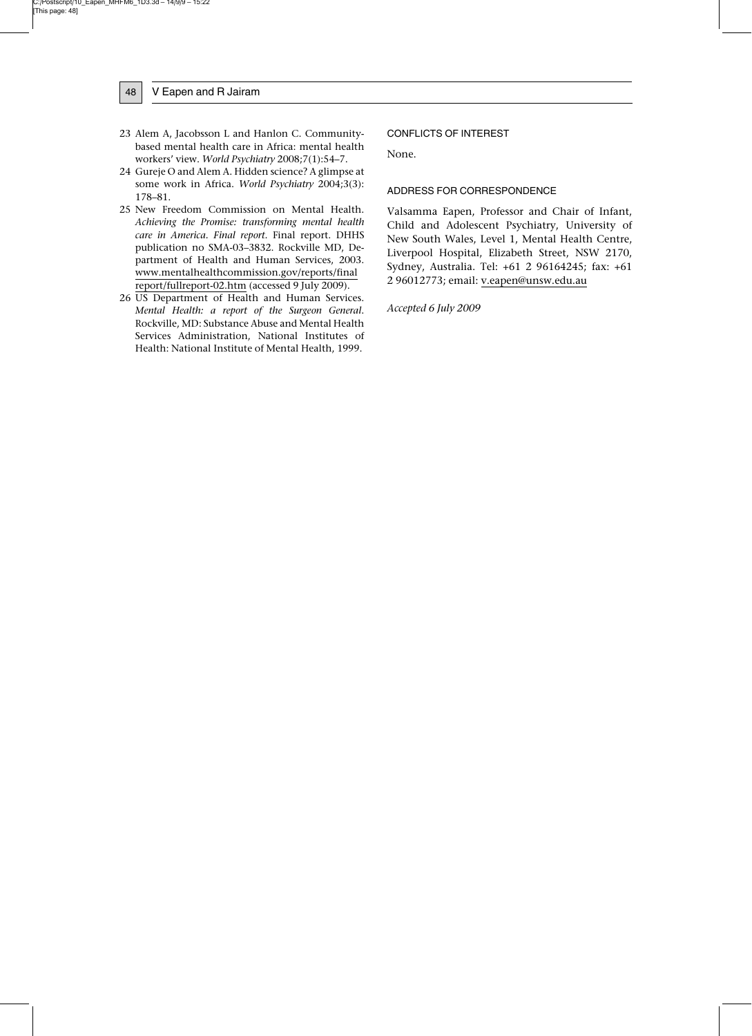- 48 | V Eapen and R Jairam
- 23 Alem A, Jacobsson L and Hanlon C. Communitybased mental health care in Africa: mental health workers' view. World Psychiatry 2008;7(1):54–7.
- 24 Gureje O and Alem A. Hidden science? A glimpse at some work in Africa. World Psychiatry 2004;3(3): 178–81.
- 25 New Freedom Commission on Mental Health. Achieving the Promise: transforming mental health care in America. Final report. Final report. DHHS publication no SMA-03–3832. Rockville MD, Department of Health and Human Services, 2003. www.mentalhealthcommission.gov/reports/final report/fullreport-02.htm (accessed 9 July 2009).
- 26 US Department of Health and Human Services. Mental Health: a report of the Surgeon General. Rockville, MD: Substance Abuse and Mental Health Services Administration, National Institutes of Health: National Institute of Mental Health, 1999.

#### CONFLICTS OF INTEREST

None.

#### ADDRESS FOR CORRESPONDENCE

Valsamma Eapen, Professor and Chair of Infant, Child and Adolescent Psychiatry, University of New South Wales, Level 1, Mental Health Centre, Liverpool Hospital, Elizabeth Street, NSW 2170, Sydney, Australia. Tel: +61 2 96164245; fax: +61 2 96012773; email: v.eapen@unsw.edu.au

Accepted 6 July 2009